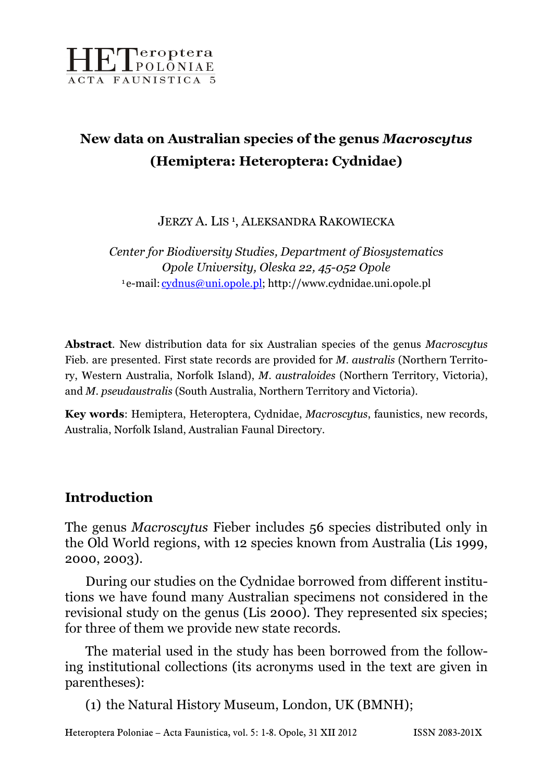

# New data on Australian species of the genus Macroscytus (Hemiptera: Heteroptera: Cydnidae)

JERZY A. LIS<sup>1</sup>, ALEKSANDRA RAKOWIECKA

Center for Biodiversity Studies, Department of Biosystematics Opole University, Oleska 22, 45-052 Opole <sup>1</sup> e-mail: cydnus@uni.opole.pl; http://www.cydnidae.uni.opole.pl

Abstract. New distribution data for six Australian species of the genus Macroscytus Fieb. are presented. First state records are provided for M. australis (Northern Territory, Western Australia, Norfolk Island), M. australoides (Northern Territory, Victoria), and M. pseudaustralis (South Australia, Northern Territory and Victoria).

Key words: Hemiptera, Heteroptera, Cydnidae, Macroscytus, faunistics, new records, Australia, Norfolk Island, Australian Faunal Directory.

#### Introduction

The genus Macroscytus Fieber includes 56 species distributed only in the Old World regions, with 12 species known from Australia (Lis 1999, 2000, 2003).

During our studies on the Cydnidae borrowed from different institutions we have found many Australian specimens not considered in the revisional study on the genus (Lis 2000). They represented six species; for three of them we provide new state records.

The material used in the study has been borrowed from the following institutional collections (its acronyms used in the text are given in parentheses):

(1) the Natural History Museum, London, UK (BMNH);

Heteroptera Poloniae – Acta Faunistica, vol. 5: 1-8. Opole, 31 XII 2012 ISSN 2083-201X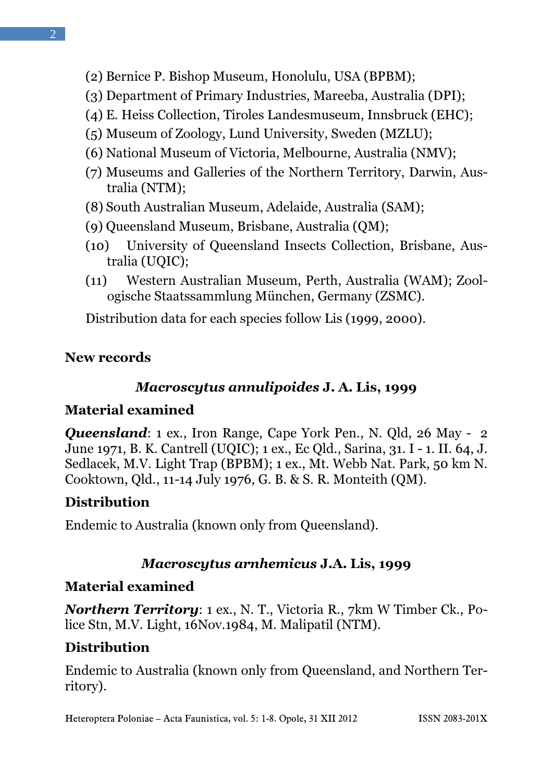- (3) Department of Primary Industries, Mareeba, Australia (DPI);
- (4) E. Heiss Collection, Tiroles Landesmuseum, Innsbruck (EHC);
- (5) Museum of Zoology, Lund University, Sweden (MZLU);
- (6) National Museum of Victoria, Melbourne, Australia (NMV);
- (7) Museums and Galleries of the Northern Territory, Darwin, Australia (NTM);
- (8) South Australian Museum, Adelaide, Australia (SAM);
- (9) Queensland Museum, Brisbane, Australia (QM);
- (10) University of Queensland Insects Collection, Brisbane, Australia (UQIC);
- (11) Western Australian Museum, Perth, Australia (WAM); Zoologische Staatssammlung München, Germany (ZSMC).

Distribution data for each species follow Lis (1999, 2000).

## New records

## Macroscytus annulipoides J. A. Lis, 1999

### Material examined

**Queensland**: 1 ex., Iron Range, Cape York Pen., N. Old, 26 May - 2 June 1971, B. K. Cantrell (UQIC); 1 ex., Ec Qld., Sarina, 31. I - 1. II. 64, J. Sedlacek, M.V. Light Trap (BPBM); 1 ex., Mt. Webb Nat. Park, 50 km N. Cooktown, Qld., 11-14 July 1976, G. B. & S. R. Monteith (QM).

## **Distribution**

Endemic to Australia (known only from Queensland).

## Macroscytus arnhemicus J.A. Lis, 1999

## Material examined

Northern Territory: 1 ex., N. T., Victoria R., 7km W Timber Ck., Police Stn, M.V. Light, 16Nov.1984, M. Malipatil (NTM).

### **Distribution**

Endemic to Australia (known only from Queensland, and Northern Territory).

Heteroptera Poloniae – Acta Faunistica, vol. 5: 1-8. Opole, 31 XII 2012 ISSN 2083-201X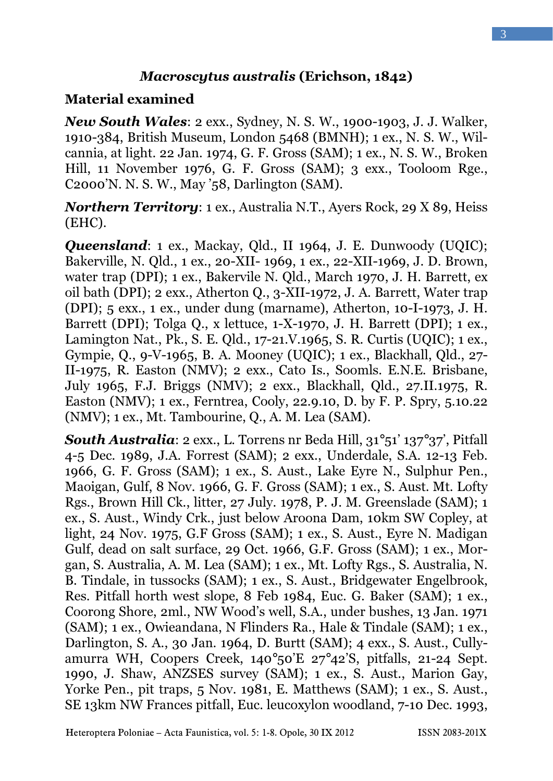#### Macroscytus australis (Erichson, 1842)

#### Material examined

**New South Wales:** 2 exx., Sydney, N. S. W., 1900-1903, J. J. Walker, 1910-384, British Museum, London 5468 (BMNH); 1 ex., N. S. W., Wilcannia, at light. 22 Jan. 1974, G. F. Gross (SAM); 1 ex., N. S. W., Broken Hill, 11 November 1976, G. F. Gross (SAM); 3 exx., Tooloom Rge., C2000'N. N. S. W., May '58, Darlington (SAM).

Northern Territory: 1 ex., Australia N.T., Ayers Rock, 29 X 89, Heiss (EHC).

Queensland: 1 ex., Mackay, Qld., II 1964, J. E. Dunwoody (UQIC); Bakerville, N. Qld., 1 ex., 20-XII- 1969, 1 ex., 22-XII-1969, J. D. Brown, water trap (DPI); 1 ex., Bakervile N. Qld., March 1970, J. H. Barrett, ex oil bath (DPI); 2 exx., Atherton Q., 3-XII-1972, J. A. Barrett, Water trap (DPI); 5 exx., 1 ex., under dung (marname), Atherton, 10-I-1973, J. H. Barrett (DPI); Tolga Q., x lettuce, 1-X-1970, J. H. Barrett (DPI); 1 ex., Lamington Nat., Pk., S. E. Qld., 17-21.V.1965, S. R. Curtis (UQIC); 1 ex., Gympie, Q., 9-V-1965, B. A. Mooney (UQIC); 1 ex., Blackhall, Qld., 27- II-1975, R. Easton (NMV); 2 exx., Cato Is., Soomls. E.N.E. Brisbane, July 1965, F.J. Briggs (NMV); 2 exx., Blackhall, Qld., 27.II.1975, R. Easton (NMV); 1 ex., Ferntrea, Cooly, 22.9.10, D. by F. P. Spry, 5.10.22 (NMV); 1 ex., Mt. Tambourine, Q., A. M. Lea (SAM).

**South Australia**: 2 exx., L. Torrens nr Beda Hill,  $31^{\circ}51'$   $137^{\circ}37'$ , Pitfall 4-5 Dec. 1989, J.A. Forrest (SAM); 2 exx., Underdale, S.A. 12-13 Feb. 1966, G. F. Gross (SAM); 1 ex., S. Aust., Lake Eyre N., Sulphur Pen., Maoigan, Gulf, 8 Nov. 1966, G. F. Gross (SAM); 1 ex., S. Aust. Mt. Lofty Rgs., Brown Hill Ck., litter, 27 July. 1978, P. J. M. Greenslade (SAM); 1 ex., S. Aust., Windy Crk., just below Aroona Dam, 10km SW Copley, at light, 24 Nov. 1975, G.F Gross (SAM); 1 ex., S. Aust., Eyre N. Madigan Gulf, dead on salt surface, 29 Oct. 1966, G.F. Gross (SAM); 1 ex., Morgan, S. Australia, A. M. Lea (SAM); 1 ex., Mt. Lofty Rgs., S. Australia, N. B. Tindale, in tussocks (SAM); 1 ex., S. Aust., Bridgewater Engelbrook, Res. Pitfall horth west slope, 8 Feb 1984, Euc. G. Baker (SAM); 1 ex., Coorong Shore, 2ml., NW Wood's well, S.A., under bushes, 13 Jan. 1971 (SAM); 1 ex., Owieandana, N Flinders Ra., Hale & Tindale (SAM); 1 ex., Darlington, S. A., 30 Jan. 1964, D. Burtt (SAM); 4 exx., S. Aust., Cullyamurra WH, Coopers Creek, 140°50'E 27°42'S, pitfalls, 21-24 Sept. 1990, J. Shaw, ANZSES survey (SAM); 1 ex., S. Aust., Marion Gay, Yorke Pen., pit traps, 5 Nov. 1981, E. Matthews (SAM); 1 ex., S. Aust., SE 13km NW Frances pitfall, Euc. leucoxylon woodland, 7-10 Dec. 1993,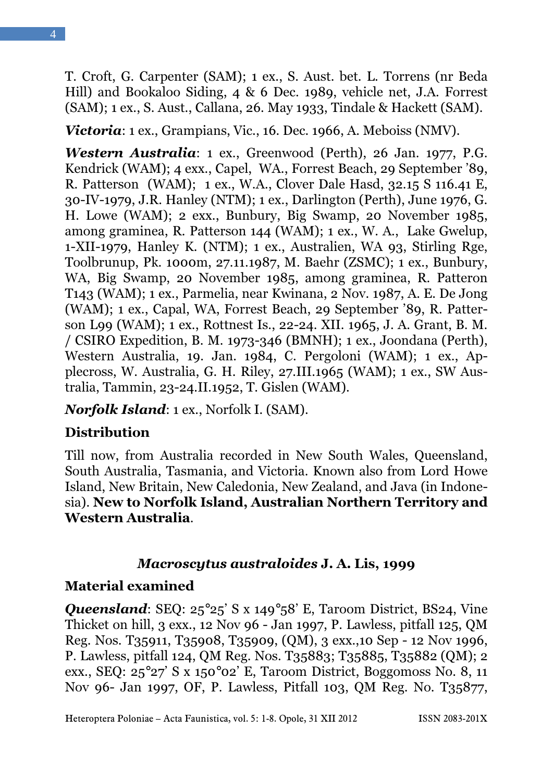T. Croft, G. Carpenter (SAM); 1 ex., S. Aust. bet. L. Torrens (nr Beda Hill) and Bookaloo Siding, 4 & 6 Dec. 1989, vehicle net, J.A. Forrest (SAM); 1 ex., S. Aust., Callana, 26. May 1933, Tindale & Hackett (SAM).

Victoria: 1 ex., Grampians, Vic., 16. Dec. 1966, A. Meboiss (NMV).

Western Australia: 1 ex., Greenwood (Perth), 26 Jan. 1977, P.G. Kendrick (WAM); 4 exx., Capel, WA., Forrest Beach, 29 September '89, R. Patterson (WAM); 1 ex., W.A., Clover Dale Hasd, 32.15 S 116.41 E, 30-IV-1979, J.R. Hanley (NTM); 1 ex., Darlington (Perth), June 1976, G. H. Lowe (WAM); 2 exx., Bunbury, Big Swamp, 20 November 1985, among graminea, R. Patterson 144 (WAM); 1 ex., W. A., Lake Gwelup, 1-XII-1979, Hanley K. (NTM); 1 ex., Australien, WA 93, Stirling Rge, Toolbrunup, Pk. 1000m, 27.11.1987, M. Baehr (ZSMC); 1 ex., Bunbury, WA, Big Swamp, 20 November 1985, among graminea, R. Patteron T143 (WAM); 1 ex., Parmelia, near Kwinana, 2 Nov. 1987, A. E. De Jong (WAM); 1 ex., Capal, WA, Forrest Beach, 29 September '89, R. Patterson L99 (WAM); 1 ex., Rottnest Is., 22-24. XII. 1965, J. A. Grant, B. M. / CSIRO Expedition, B. M. 1973-346 (BMNH); 1 ex., Joondana (Perth), Western Australia, 19. Jan. 1984, C. Pergoloni (WAM); 1 ex., Applecross, W. Australia, G. H. Riley, 27.III.1965 (WAM); 1 ex., SW Australia, Tammin, 23-24.II.1952, T. Gislen (WAM).

Norfolk Island: 1 ex., Norfolk I. (SAM).

## Distribution

Till now, from Australia recorded in New South Wales, Queensland, South Australia, Tasmania, and Victoria. Known also from Lord Howe Island, New Britain, New Caledonia, New Zealand, and Java (in Indonesia). New to Norfolk Island, Australian Northern Territory and Western Australia.

### Macroscytus australoides J. A. Lis, 1999

## Material examined

Queensland: SEQ: 25°25' S x 149°58' E, Taroom District, BS24, Vine Thicket on hill, 3 exx., 12 Nov 96 - Jan 1997, P. Lawless, pitfall 125, QM Reg. Nos. T35911, T35908, T35909, (QM), 3 exx.,10 Sep - 12 Nov 1996, P. Lawless, pitfall 124, QM Reg. Nos. T35883; T35885, T35882 (QM); 2 exx., SEQ: 25°27' S x 150°02' E, Taroom District, Boggomoss No. 8, 11 Nov 96- Jan 1997, OF, P. Lawless, Pitfall 103, QM Reg. No. T35877,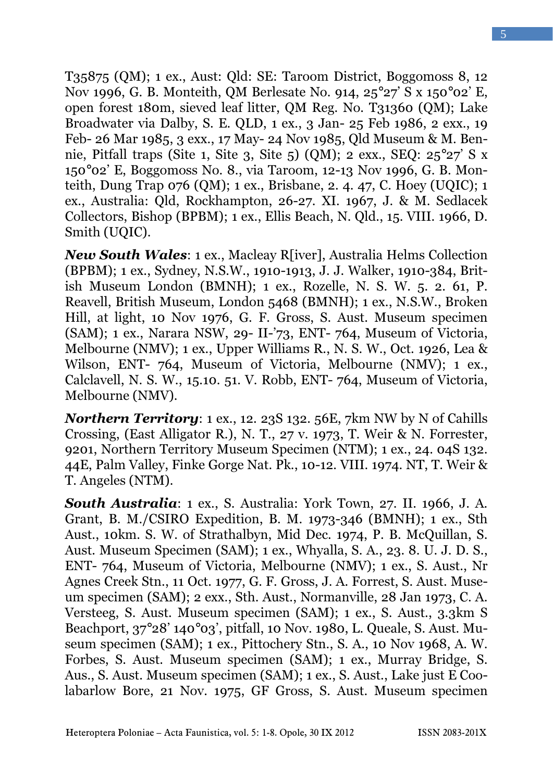T35875 (QM); 1 ex., Aust: Qld: SE: Taroom District, Boggomoss 8, 12 Nov 1996, G. B. Monteith, QM Berlesate No. 914, 25°27' S x 150°02' E, open forest 180m, sieved leaf litter, QM Reg. No. T31360 (QM); Lake Broadwater via Dalby, S. E. QLD, 1 ex., 3 Jan- 25 Feb 1986, 2 exx., 19 Feb- 26 Mar 1985, 3 exx., 17 May- 24 Nov 1985, Qld Museum & M. Bennie, Pitfall traps (Site 1, Site 3, Site 5) (QM); 2 exx., SEQ: 25°27' S x 150°02' E, Boggomoss No. 8., via Taroom, 12-13 Nov 1996, G. B. Monteith, Dung Trap 076 (QM); 1 ex., Brisbane, 2. 4. 47, C. Hoey (UQIC); 1 ex., Australia: Qld, Rockhampton, 26-27. XI. 1967, J. & M. Sedlacek Collectors, Bishop (BPBM); 1 ex., Ellis Beach, N. Qld., 15. VIII. 1966, D. Smith (UQIC).

New South Wales: 1 ex., Macleay R[iver], Australia Helms Collection (BPBM); 1 ex., Sydney, N.S.W., 1910-1913, J. J. Walker, 1910-384, British Museum London (BMNH); 1 ex., Rozelle, N. S. W. 5. 2. 61, P. Reavell, British Museum, London 5468 (BMNH); 1 ex., N.S.W., Broken Hill, at light, 10 Nov 1976, G. F. Gross, S. Aust. Museum specimen (SAM); 1 ex., Narara NSW, 29- II-'73, ENT- 764, Museum of Victoria, Melbourne (NMV); 1 ex., Upper Williams R., N. S. W., Oct. 1926, Lea & Wilson, ENT- 764, Museum of Victoria, Melbourne (NMV); 1 ex., Calclavell, N. S. W., 15.10. 51. V. Robb, ENT- 764, Museum of Victoria, Melbourne (NMV).

Northern Territory: 1 ex., 12. 23S 132. 56E, 7km NW by N of Cahills Crossing, (East Alligator R.), N. T., 27 v. 1973, T. Weir & N. Forrester, 9201, Northern Territory Museum Specimen (NTM); 1 ex., 24. 04S 132. 44E, Palm Valley, Finke Gorge Nat. Pk., 10-12. VIII. 1974. NT, T. Weir & T. Angeles (NTM).

South Australia: 1 ex., S. Australia: York Town, 27. II. 1966, J. A. Grant, B. M./CSIRO Expedition, B. M. 1973-346 (BMNH); 1 ex., Sth Aust., 10km. S. W. of Strathalbyn, Mid Dec. 1974, P. B. McQuillan, S. Aust. Museum Specimen (SAM); 1 ex., Whyalla, S. A., 23. 8. U. J. D. S., ENT- 764, Museum of Victoria, Melbourne (NMV); 1 ex., S. Aust., Nr Agnes Creek Stn., 11 Oct. 1977, G. F. Gross, J. A. Forrest, S. Aust. Museum specimen (SAM); 2 exx., Sth. Aust., Normanville, 28 Jan 1973, C. A. Versteeg, S. Aust. Museum specimen (SAM); 1 ex., S. Aust., 3.3km S Beachport, 37°28' 140°03', pitfall, 10 Nov. 1980, L. Queale, S. Aust. Museum specimen (SAM); 1 ex., Pittochery Stn., S. A., 10 Nov 1968, A. W. Forbes, S. Aust. Museum specimen (SAM); 1 ex., Murray Bridge, S. Aus., S. Aust. Museum specimen (SAM); 1 ex., S. Aust., Lake just E Coolabarlow Bore, 21 Nov. 1975, GF Gross, S. Aust. Museum specimen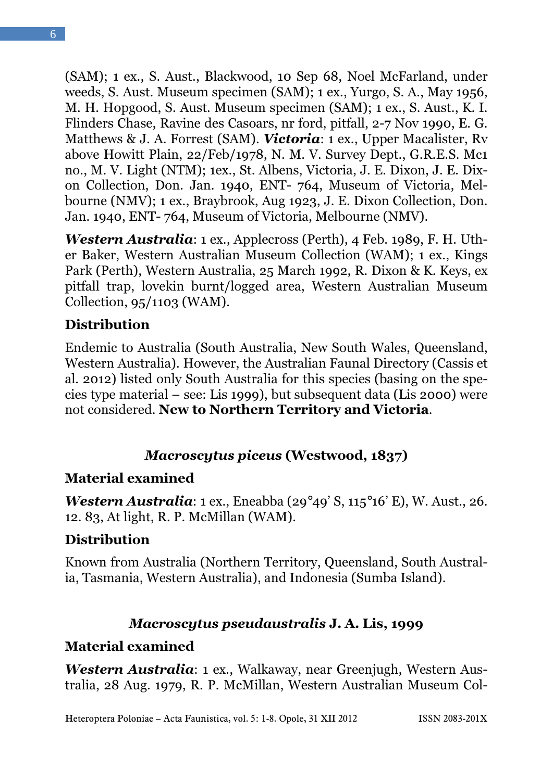6

(SAM); 1 ex., S. Aust., Blackwood, 10 Sep 68, Noel McFarland, under weeds, S. Aust. Museum specimen (SAM); 1 ex., Yurgo, S. A., May 1956, M. H. Hopgood, S. Aust. Museum specimen (SAM); 1 ex., S. Aust., K. I. Flinders Chase, Ravine des Casoars, nr ford, pitfall, 2-7 Nov 1990, E. G. Matthews & J. A. Forrest (SAM). Victoria: 1 ex., Upper Macalister, Rv above Howitt Plain, 22/Feb/1978, N. M. V. Survey Dept., G.R.E.S. Mc1 no., M. V. Light (NTM); 1ex., St. Albens, Victoria, J. E. Dixon, J. E. Dixon Collection, Don. Jan. 1940, ENT- 764, Museum of Victoria, Melbourne (NMV); 1 ex., Braybrook, Aug 1923, J. E. Dixon Collection, Don. Jan. 1940, ENT- 764, Museum of Victoria, Melbourne (NMV).

Western Australia: 1 ex., Applecross (Perth), 4 Feb. 1989, F. H. Uther Baker, Western Australian Museum Collection (WAM); 1 ex., Kings Park (Perth), Western Australia, 25 March 1992, R. Dixon & K. Keys, ex pitfall trap, lovekin burnt/logged area, Western Australian Museum Collection, 95/1103 (WAM).

## **Distribution**

Endemic to Australia (South Australia, New South Wales, Queensland, Western Australia). However, the Australian Faunal Directory (Cassis et al. 2012) listed only South Australia for this species (basing on the species type material – see: Lis 1999), but subsequent data (Lis 2000) were not considered. New to Northern Territory and Victoria.

## Macroscytus piceus (Westwood, 1837)

## Material examined

Western Australia: 1 ex., Eneabba (29°49' S, 115°16' E), W. Aust., 26. 12. 83, At light, R. P. McMillan (WAM).

## **Distribution**

Known from Australia (Northern Territory, Queensland, South Australia, Tasmania, Western Australia), and Indonesia (Sumba Island).

## Macroscytus pseudaustralis J. A. Lis, 1999

## Material examined

Western Australia: 1 ex., Walkaway, near Greenjugh, Western Australia, 28 Aug. 1979, R. P. McMillan, Western Australian Museum Col-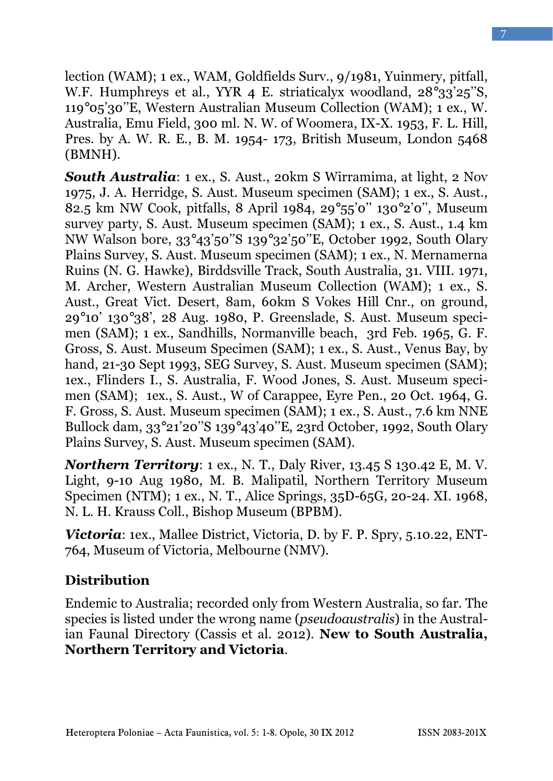7

lection (WAM); 1 ex., WAM, Goldfields Surv., 9/1981, Yuinmery, pitfall, W.F. Humphreys et al., YYR 4 E. striaticalyx woodland, 28°33'25''S, 119°05'30''E, Western Australian Museum Collection (WAM); 1 ex., W. Australia, Emu Field, 300 ml. N. W. of Woomera, IX-X. 1953, F. L. Hill, Pres. by A. W. R. E., B. M. 1954- 173, British Museum, London 5468 (BMNH).

South Australia: 1 ex., S. Aust., 20km S Wirramima, at light, 2 Nov 1975, J. A. Herridge, S. Aust. Museum specimen (SAM); 1 ex., S. Aust., 82.5 km NW Cook, pitfalls, 8 April 1984, 29°55'0'' 130°2'0'', Museum survey party, S. Aust. Museum specimen (SAM); 1 ex., S. Aust., 1.4 km NW Walson bore, 33°43'50''S 139°32'50''E, October 1992, South Olary Plains Survey, S. Aust. Museum specimen (SAM); 1 ex., N. Mernamerna Ruins (N. G. Hawke), Birddsville Track, South Australia, 31. VIII. 1971, M. Archer, Western Australian Museum Collection (WAM); 1 ex., S. Aust., Great Vict. Desert, 8am, 60km S Vokes Hill Cnr., on ground, 29°10' 130°38', 28 Aug. 1980, P. Greenslade, S. Aust. Museum specimen (SAM); 1 ex., Sandhills, Normanville beach, 3rd Feb. 1965, G. F. Gross, S. Aust. Museum Specimen (SAM); 1 ex., S. Aust., Venus Bay, by hand, 21-30 Sept 1993, SEG Survey, S. Aust. Museum specimen (SAM); 1ex., Flinders I., S. Australia, F. Wood Jones, S. Aust. Museum specimen (SAM); 1ex., S. Aust., W of Carappee, Eyre Pen., 20 Oct. 1964, G. F. Gross, S. Aust. Museum specimen (SAM); 1 ex., S. Aust., 7.6 km NNE Bullock dam, 33°21'20''S 139°43'40''E, 23rd October, 1992, South Olary Plains Survey, S. Aust. Museum specimen (SAM).

**Northern Territory**: 1 ex., N. T., Daly River,  $13.45 S 130.42 E$ , M. V. Light, 9-10 Aug 1980, M. B. Malipatil, Northern Territory Museum Specimen (NTM); 1 ex., N. T., Alice Springs, 35D-65G, 20-24. XI. 1968, N. L. H. Krauss Coll., Bishop Museum (BPBM).

**Victoria:** 1ex., Mallee District, Victoria, D. by F. P. Spry,  $5.10.22$ , ENT-764, Museum of Victoria, Melbourne (NMV).

## **Distribution**

Endemic to Australia; recorded only from Western Australia, so far. The species is listed under the wrong name (pseudoaustralis) in the Australian Faunal Directory (Cassis et al. 2012). New to South Australia, Northern Territory and Victoria.